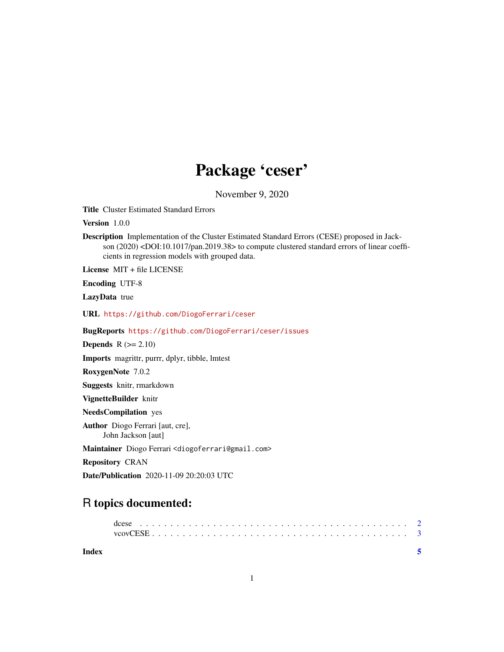## Package 'ceser'

November 9, 2020

Title Cluster Estimated Standard Errors

Version 1.0.0

Description Implementation of the Cluster Estimated Standard Errors (CESE) proposed in Jackson (2020) <DOI:10.1017/pan.2019.38> to compute clustered standard errors of linear coefficients in regression models with grouped data.

License MIT + file LICENSE

Encoding UTF-8

LazyData true

URL <https://github.com/DiogoFerrari/ceser>

BugReports <https://github.com/DiogoFerrari/ceser/issues>

**Depends**  $R$  ( $>= 2.10$ )

Imports magrittr, purrr, dplyr, tibble, lmtest

RoxygenNote 7.0.2

Suggests knitr, rmarkdown

VignetteBuilder knitr

NeedsCompilation yes

Author Diogo Ferrari [aut, cre], John Jackson [aut]

Maintainer Diogo Ferrari <diogoferrari@gmail.com>

Repository CRAN

Date/Publication 2020-11-09 20:20:03 UTC

### R topics documented:

| dcese |  |  |  |  |  |  |  |  |  |  |  |  |  |  |  |  |  |  |  |  |  |  |
|-------|--|--|--|--|--|--|--|--|--|--|--|--|--|--|--|--|--|--|--|--|--|--|
|       |  |  |  |  |  |  |  |  |  |  |  |  |  |  |  |  |  |  |  |  |  |  |

**Index** [5](#page-4-0). The second state of the second state of the second state of the second state of the second state of the second state of the second state of the second state of the second state of the second state of the second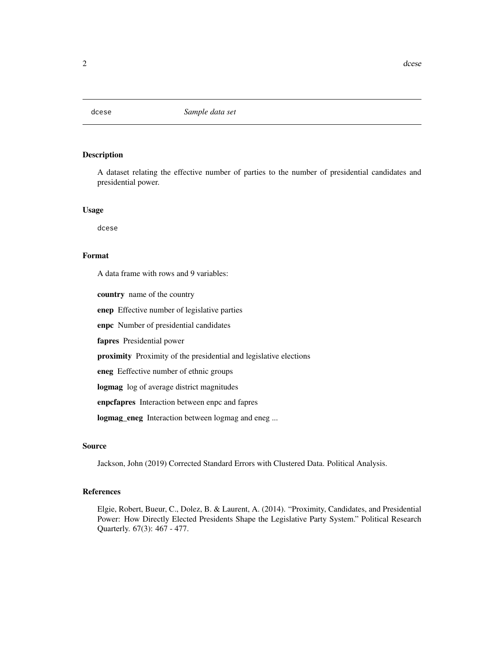<span id="page-1-0"></span>

#### Description

A dataset relating the effective number of parties to the number of presidential candidates and presidential power.

#### Usage

dcese

#### Format

A data frame with rows and 9 variables:

country name of the country

enep Effective number of legislative parties

enpc Number of presidential candidates

fapres Presidential power

proximity Proximity of the presidential and legislative elections

eneg Eeffective number of ethnic groups

logmag log of average district magnitudes

enpcfapres Interaction between enpc and fapres

logmag\_eneg Interaction between logmag and eneg ...

#### Source

Jackson, John (2019) Corrected Standard Errors with Clustered Data. Political Analysis.

#### References

Elgie, Robert, Bueur, C., Dolez, B. & Laurent, A. (2014). "Proximity, Candidates, and Presidential Power: How Directly Elected Presidents Shape the Legislative Party System." Political Research Quarterly. 67(3): 467 - 477.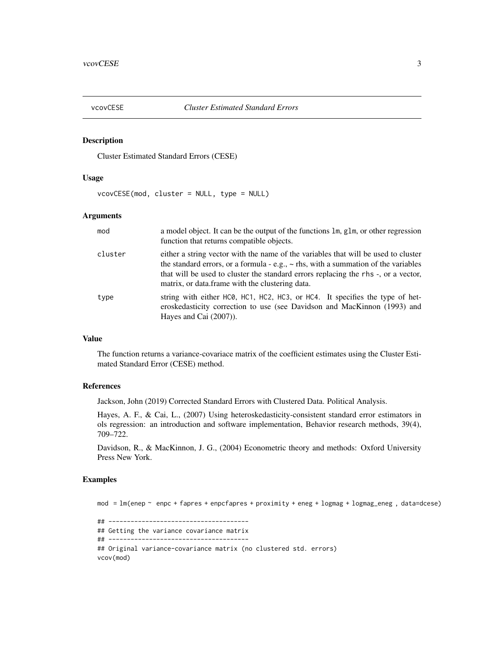<span id="page-2-0"></span>

#### Description

Cluster Estimated Standard Errors (CESE)

#### Usage

vcovCESE(mod, cluster = NULL, type = NULL)

#### Arguments

| mod     | a model object. It can be the output of the functions 1m, g1m, or other regression<br>function that returns compatible objects.                                                                                                                                                                                        |
|---------|------------------------------------------------------------------------------------------------------------------------------------------------------------------------------------------------------------------------------------------------------------------------------------------------------------------------|
| cluster | either a string vector with the name of the variables that will be used to cluster<br>the standard errors, or a formula - e.g., $\sim$ rhs, with a summation of the variables<br>that will be used to cluster the standard errors replacing the rhs -, or a vector,<br>matrix, or data frame with the clustering data. |
| type    | string with either HCO, HC1, HC2, HC3, or HC4. It specifies the type of het-<br>eroskedasticity correction to use (see Davidson and MacKinnon (1993) and<br>Hayes and Cai $(2007)$ ).                                                                                                                                  |

#### Value

The function returns a variance-covariace matrix of the coefficient estimates using the Cluster Estimated Standard Error (CESE) method.

#### References

Jackson, John (2019) Corrected Standard Errors with Clustered Data. Political Analysis.

Hayes, A. F., & Cai, L., (2007) Using heteroskedasticity-consistent standard error estimators in ols regression: an introduction and software implementation, Behavior research methods, 39(4), 709–722.

Davidson, R., & MacKinnon, J. G., (2004) Econometric theory and methods: Oxford University Press New York.

#### Examples

 $mod = lm(enep \sim enpe + fapres + enpefapres + proximity + eneg + logmag + logmag_{eneg} , data = does)$ ## -------------------------------------- ## Getting the variance covariance matrix ## -------------------------------------- ## Original variance-covariance matrix (no clustered std. errors) vcov(mod)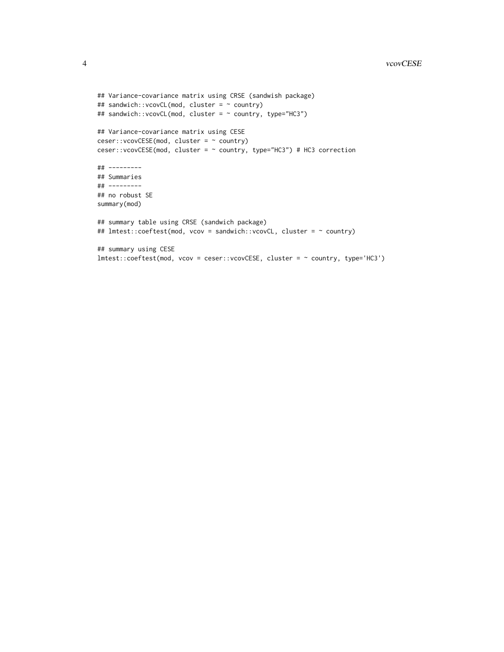```
## Variance-covariance matrix using CRSE (sandwish package)
## sandwich::vcovCL(mod, cluster = ~ country)
## sandwich::vcovCL(mod, cluster = ~ country, type="HC3")
## Variance-covariance matrix using CESE
ceser::vcovCESE(mod, cluster = ~ country)
ceser::vcovCESE(mod, cluster = ~ country, type="HC3") # HC3 correction
## ---------
## Summaries
## ---------
## no robust SE
summary(mod)
## summary table using CRSE (sandwich package)
## lmtest::coeftest(mod, vcov = sandwich::vcovCL, cluster = ~ country)
## summary using CESE
lmtest::coeftest(mod, vcov = ceser::vcovCESE, cluster = ~ country, type='HC3')
```